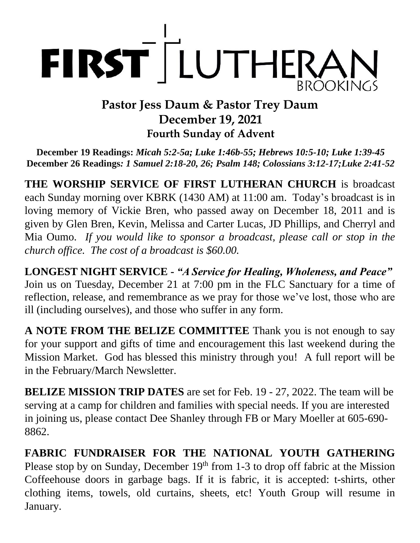

## **Pastor Jess Daum & Pastor Trey Daum December 19, 2021 Fourth Sunday of Advent**

**December 19 Readings:** *Micah 5:2-5a; Luke 1:46b-55; Hebrews 10:5-10; Luke 1:39-45* **December 26 Readings***: 1 Samuel 2:18-20, 26; Psalm 148; Colossians 3:12-17;Luke 2:41-52*

**THE WORSHIP SERVICE OF FIRST LUTHERAN CHURCH** is broadcast each Sunday morning over KBRK (1430 AM) at 11:00 am. Today's broadcast is in loving memory of Vickie Bren, who passed away on December 18, 2011 and is given by Glen Bren, Kevin, Melissa and Carter Lucas, JD Phillips, and Cherryl and Mia Oumo. *If you would like to sponsor a broadcast, please call or stop in the church office. The cost of a broadcast is \$60.00.*

**LONGEST NIGHT SERVICE -** *"A Service for Healing, Wholeness, and Peace"*  Join us on Tuesday, December 21 at 7:00 pm in the FLC Sanctuary for a time of reflection, release, and remembrance as we pray for those we've lost, those who are ill (including ourselves), and those who suffer in any form.

**A NOTE FROM THE BELIZE COMMITTEE** Thank you is not enough to say for your support and gifts of time and encouragement this last weekend during the Mission Market. God has blessed this ministry through you! A full report will be in the February/March Newsletter.

**BELIZE MISSION TRIP DATES** are set for Feb. 19 - 27, 2022. The team will be serving at a camp for children and families with special needs. If you are interested in joining us, please contact Dee Shanley through FB or Mary Moeller at 605-690- 8862.

**FABRIC FUNDRAISER FOR THE NATIONAL YOUTH GATHERING** Please stop by on Sunday, December 19<sup>th</sup> from 1-3 to drop off fabric at the Mission Coffeehouse doors in garbage bags. If it is fabric, it is accepted: t-shirts, other clothing items, towels, old curtains, sheets, etc! Youth Group will resume in January.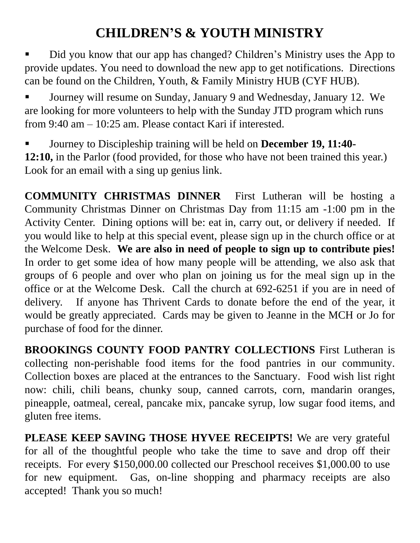# **CHILDREN'S & YOUTH MINISTRY**

Did you know that our app has changed? Children's Ministry uses the App to provide updates. You need to download the new app to get notifications. Directions can be found on the Children, Youth, & Family Ministry HUB (CYF HUB).

▪ Journey will resume on Sunday, January 9 and Wednesday, January 12. We are looking for more volunteers to help with the Sunday JTD program which runs from 9:40 am – 10:25 am. Please contact Kari if interested.

▪ Journey to Discipleship training will be held on **December 19, 11:40- 12:10,** in the Parlor (food provided, for those who have not been trained this year.) Look for an email with a sing up genius link.

**COMMUNITY CHRISTMAS DINNER** First Lutheran will be hosting a Community Christmas Dinner on Christmas Day from 11:15 am -1:00 pm in the Activity Center. Dining options will be: eat in, carry out, or delivery if needed. If you would like to help at this special event, please sign up in the church office or at the Welcome Desk. **We are also in need of people to sign up to contribute pies!** In order to get some idea of how many people will be attending, we also ask that groups of 6 people and over who plan on joining us for the meal sign up in the office or at the Welcome Desk. Call the church at 692-6251 if you are in need of delivery. If anyone has Thrivent Cards to donate before the end of the year, it would be greatly appreciated. Cards may be given to Jeanne in the MCH or Jo for purchase of food for the dinner.

**BROOKINGS COUNTY FOOD PANTRY COLLECTIONS** First Lutheran is collecting non-perishable food items for the food pantries in our community. Collection boxes are placed at the entrances to the Sanctuary. Food wish list right now: chili, chili beans, chunky soup, canned carrots, corn, mandarin oranges, pineapple, oatmeal, cereal, pancake mix, pancake syrup, low sugar food items, and gluten free items.

**PLEASE KEEP SAVING THOSE HYVEE RECEIPTS!** We are very grateful for all of the thoughtful people who take the time to save and drop off their receipts. For every \$150,000.00 collected our Preschool receives \$1,000.00 to use for new equipment. Gas, on-line shopping and pharmacy receipts are also accepted! Thank you so much!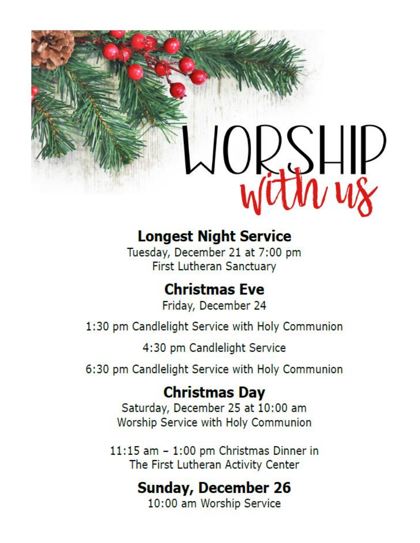# $JQ_{\nu}S H\nu$

# **Longest Night Service**

Tuesday, December 21 at 7:00 pm **First Lutheran Sanctuary** 

# **Christmas Eve**

Friday, December 24

1:30 pm Candlelight Service with Holy Communion

4:30 pm Candlelight Service

6:30 pm Candlelight Service with Holy Communion

# **Christmas Day**

Saturday, December 25 at 10:00 am Worship Service with Holy Communion

11:15 am - 1:00 pm Christmas Dinner in The First Lutheran Activity Center

# **Sunday, December 26**

10:00 am Worship Service